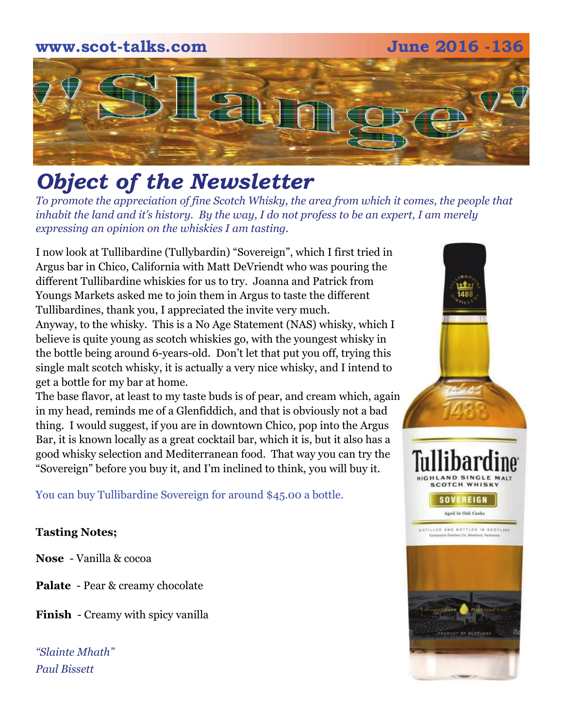# **www.scot-talks.com June 2016 -136** [2]

# *Object of the Newsletter*

*To promote the appreciation of fine Scotch Whisky, the area from which it comes, the people that inhabit the land and it's history. By the way, I do not profess to be an expert, I am merely expressing an opinion on the whiskies I am tasting.* 

I now look at Tullibardine (Tullybardin) "Sovereign", which I first tried in Argus bar in Chico, California with Matt DeVriendt who was pouring the different Tullibardine whiskies for us to try. Joanna and Patrick from Youngs Markets asked me to join them in Argus to taste the different Tullibardines, thank you, I appreciated the invite very much. Anyway, to the whisky. This is a No Age Statement (NAS) whisky, which I believe is quite young as scotch whiskies go, with the youngest whisky in the bottle being around 6-years-old. Don't let that put you off, trying this single malt scotch whisky, it is actually a very nice whisky, and I intend to get a bottle for my bar at home.

The base flavor, at least to my taste buds is of pear, and cream which, again in my head, reminds me of a Glenfiddich, and that is obviously not a bad thing. I would suggest, if you are in downtown Chico, pop into the Argus Bar, it is known locally as a great cocktail bar, which it is, but it also has a good whisky selection and Mediterranean food. That way you can try the "Sovereign" before you buy it, and I'm inclined to think, you will buy it.

You can buy Tullibardine Sovereign for around \$45.00 a bottle.

## **Tasting Notes;**

**Nose** - Vanilla & cocoa

**Palate** - Pear & creamy chocolate

**Finish** - Creamy with spicy vanilla

*"Slainte Mhath" Paul Bissett*

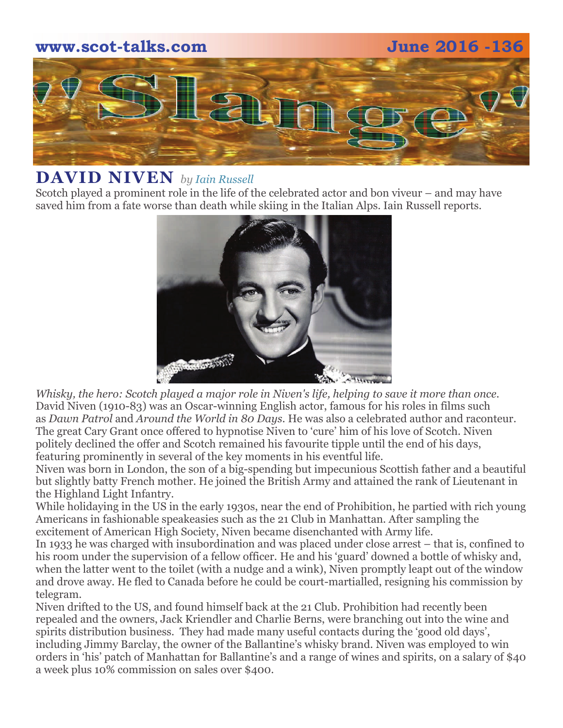# **www.scot-talks.com June 2016 -136**



## **DAVID NIVEN** *by [Iain Russell](https://scotchwhisky.com/magazine/contributors/#IainRussell)*

Scotch played a prominent role in the life of the celebrated actor and bon viveur – and may have saved him from a fate worse than death while skiing in the Italian Alps. Iain Russell reports.



*Whisky, the hero: Scotch played a major role in Niven's life, helping to save it more than once.*  David Niven (1910-83) was an Oscar-winning English actor, famous for his roles in films such as *Dawn Patrol* and *Around the World in 80 Days*. He was also a celebrated author and raconteur. The great Cary Grant once offered to hypnotise Niven to 'cure' him of his love of Scotch. Niven politely declined the offer and Scotch remained his favourite tipple until the end of his days, featuring prominently in several of the key moments in his eventful life.

Niven was born in London, the son of a big-spending but impecunious Scottish father and a beautiful but slightly batty French mother. He joined the British Army and attained the rank of Lieutenant in the Highland Light Infantry.

While holidaying in the US in the early 1930s, near the end of Prohibition, he partied with rich young Americans in fashionable speakeasies such as the 21 Club in Manhattan. After sampling the excitement of American High Society, Niven became disenchanted with Army life.

In 1933 he was charged with insubordination and was placed under close arrest – that is, confined to his room under the supervision of a fellow officer. He and his 'guard' downed a bottle of whisky and, when the latter went to the toilet (with a nudge and a wink), Niven promptly leapt out of the window and drove away. He fled to Canada before he could be court-martialled, resigning his commission by telegram.

Niven drifted to the US, and found himself back at the 21 Club. Prohibition had recently been repealed and the owners, Jack Kriendler and Charlie Berns, were branching out into the wine and spirits distribution business. They had made many useful contacts during the 'good old days', including Jimmy Barclay, the owner of the Ballantine's whisky brand. Niven was employed to win orders in 'his' patch of Manhattan for Ballantine's and a range of wines and spirits, on a salary of \$40 a week plus 10% commission on sales over \$400.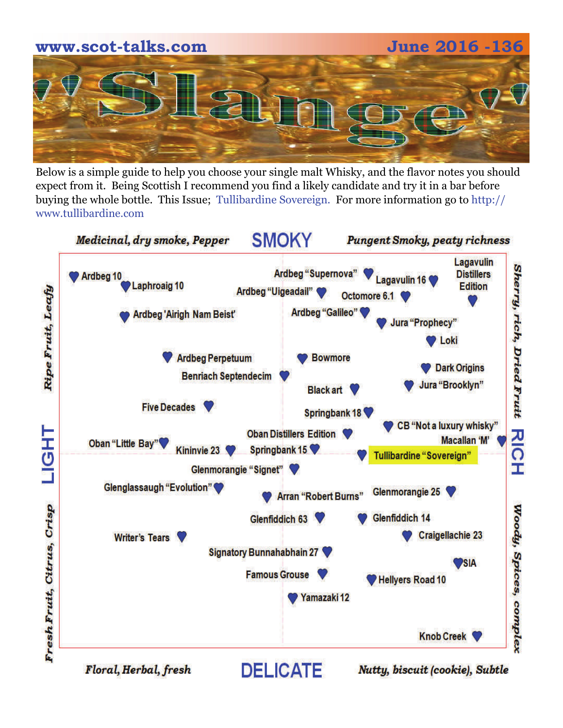

Below is a simple guide to help you choose your single malt Whisky, and the flavor notes you should expect from it. Being Scottish I recommend you find a likely candidate and try it in a bar before buying the whole bottle. This Issue; Tullibardine Sovereign. For more information go to http:// www.tullibardine.com



Floral, Herbal, fresh

Nutty, biscuit (cookie), Subtle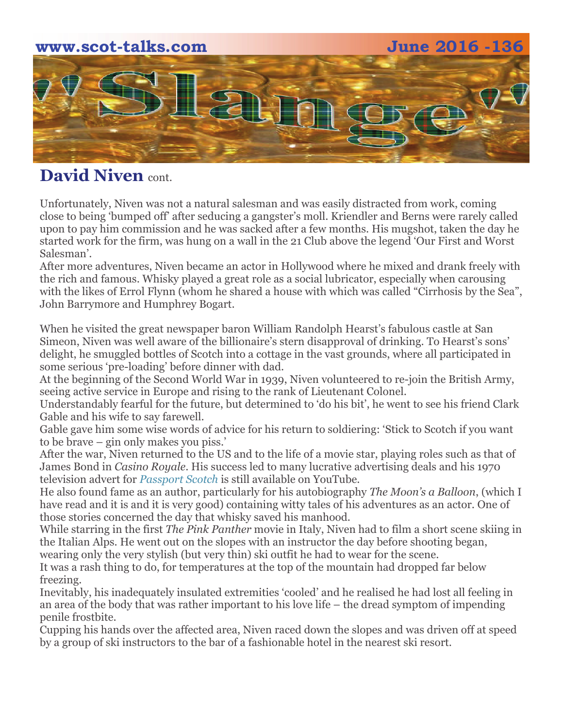# **www.scot-talks.com June 2016 -136**  C

# **David Niven** cont.

Unfortunately, Niven was not a natural salesman and was easily distracted from work, coming close to being 'bumped off' after seducing a gangster's moll. Kriendler and Berns were rarely called upon to pay him commission and he was sacked after a few months. His mugshot, taken the day he started work for the firm, was hung on a wall in the 21 Club above the legend 'Our First and Worst Salesman'.

After more adventures, Niven became an actor in Hollywood where he mixed and drank freely with the rich and famous. Whisky played a great role as a social lubricator, especially when carousing with the likes of Errol Flynn (whom he shared a house with which was called "Cirrhosis by the Sea", John Barrymore and Humphrey Bogart.

When he visited the great newspaper baron William Randolph Hearst's fabulous castle at San Simeon, Niven was well aware of the billionaire's stern disapproval of drinking. To Hearst's sons' delight, he smuggled bottles of Scotch into a cottage in the vast grounds, where all participated in some serious 'pre-loading' before dinner with dad.

At the beginning of the Second World War in 1939, Niven volunteered to re-join the British Army, seeing active service in Europe and rising to the rank of Lieutenant Colonel.

Understandably fearful for the future, but determined to 'do his bit', he went to see his friend Clark Gable and his wife to say farewell.

Gable gave him some wise words of advice for his return to soldiering: 'Stick to Scotch if you want to be brave – gin only makes you piss.'

After the war, Niven returned to the US and to the life of a movie star, playing roles such as that of James Bond in *Casino Royale*. His success led to many lucrative advertising deals and his 1970 television advert for *[Passport Scotch](https://scotchwhisky.com/whiskypedia/2476/passport/)* is still available on YouTube.

He also found fame as an author, particularly for his autobiography *The Moon's a Balloon*, (which I have read and it is and it is very good) containing witty tales of his adventures as an actor. One of those stories concerned the day that whisky saved his manhood.

While starring in the first *The Pink Panther* movie in Italy, Niven had to film a short scene skiing in the Italian Alps. He went out on the slopes with an instructor the day before shooting began, wearing only the very stylish (but very thin) ski outfit he had to wear for the scene.

It was a rash thing to do, for temperatures at the top of the mountain had dropped far below freezing.

Inevitably, his inadequately insulated extremities 'cooled' and he realised he had lost all feeling in an area of the body that was rather important to his love life – the dread symptom of impending penile frostbite.

Cupping his hands over the affected area, Niven raced down the slopes and was driven off at speed by a group of ski instructors to the bar of a fashionable hotel in the nearest ski resort.